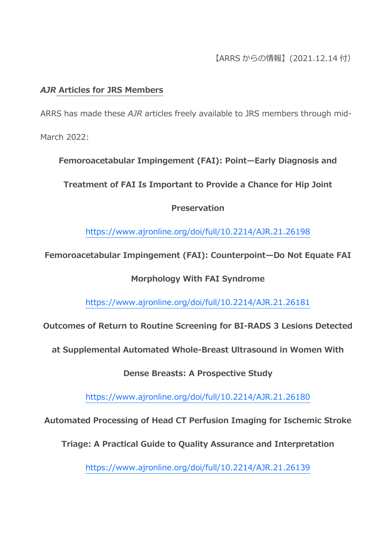## *AJR* **Articles for JRS Members**

ARRS has made these *AJR* articles freely available to JRS members through mid-March 2022:

**Femoroacetabular Impingement (FAI): Point—Early Diagnosis and** 

**Treatment of FAI Is Important to Provide a Chance for Hip Joint** 

## **Preservation**

<https://www.ajronline.org/doi/full/10.2214/AJR.21.26198>

**Femoroacetabular Impingement (FAI): Counterpoint—Do Not Equate FAI** 

# **Morphology With FAI Syndrome**

<https://www.ajronline.org/doi/full/10.2214/AJR.21.26181>

**Outcomes of Return to Routine Screening for BI-RADS 3 Lesions Detected** 

**at Supplemental Automated Whole-Breast Ultrasound in Women With** 

**Dense Breasts: A Prospective Study**

<https://www.ajronline.org/doi/full/10.2214/AJR.21.26180>

**Automated Processing of Head CT Perfusion Imaging for Ischemic Stroke** 

**Triage: A Practical Guide to Quality Assurance and Interpretation**

<https://www.ajronline.org/doi/full/10.2214/AJR.21.26139>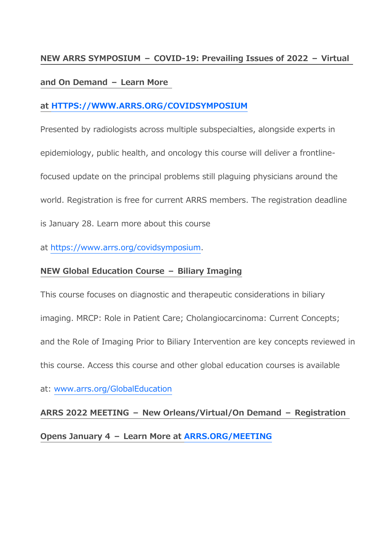#### **NEW ARRS SYMPOSIUM – COVID-19: Prevailing Issues of 2022 – Virtual**

#### **and On Demand – Learn More**

## **at [HTTPS://WWW.ARRS.ORG/COVIDSYMPOSIUM](https://www.arrs.org/COVIDSYMPOSIUM)**

Presented by radiologists across multiple subspecialties, alongside experts in epidemiology, public health, and oncology this course will deliver a frontlinefocused update on the principal problems still plaguing physicians around the world. Registration is free for current ARRS members. The registration deadline is January 28. Learn more about this course

at [https://www.arrs.org/covidsymposium.](https://www.arrs.org/covidsymposium)

## **NEW Global Education Course – Biliary Imaging**

This course focuses on diagnostic and therapeutic considerations in biliary imaging. MRCP: Role in Patient Care; Cholangiocarcinoma: Current Concepts; and the Role of Imaging Prior to Biliary Intervention are key concepts reviewed in this course. Access this course and other global education courses is available

at: [www.arrs.org/GlobalEducation](https://www.arrs.org/GlobalEducation)

#### **ARRS 2022 MEETING – New Orleans/Virtual/On Demand – Registration**

**Opens January 4 – Learn More at [ARRS.ORG/MEETING](https://www2.arrs.org/am22/)**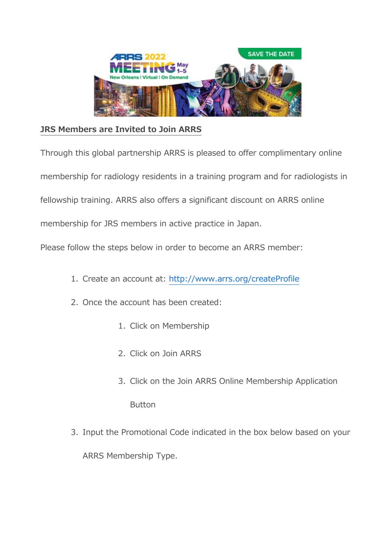

# **JRS Members are Invited to Join ARRS**

Through this global partnership ARRS is pleased to offer complimentary online

membership for radiology residents in a training program and for radiologists in

fellowship training. ARRS also offers a significant discount on ARRS online

membership for JRS members in active practice in Japan.

Please follow the steps below in order to become an ARRS member:

- 1. Create an account at: <http://www.arrs.org/createProfile>
- 2. Once the account has been created:
	- 1. Click on Membership
	- 2. Click on Join ARRS
	- 3. Click on the Join ARRS Online Membership Application Button
- 3. Input the Promotional Code indicated in the box below based on your

ARRS Membership Type.